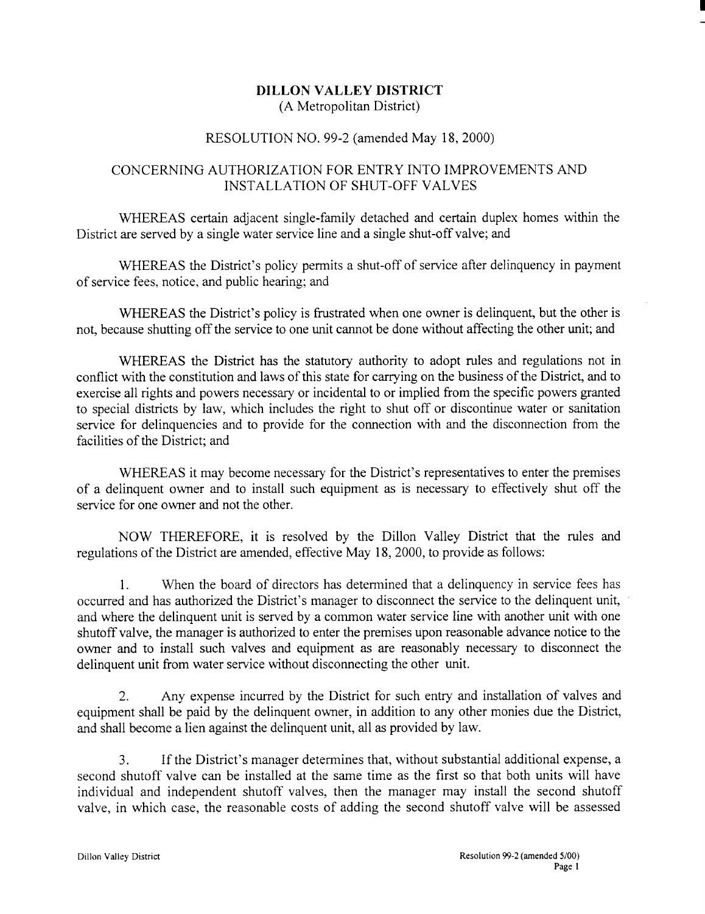## DILLON VALLEY DISTRICT (A Metropolitan District)

## RESOLUTION NO. 99-2 (amended May 18, 2000)

## CONCERNING AUTHORIZATION FOR ENTRY INTO IMPROVEMENTS AND INSTALLATION OF SHUT-OFF VALVES

WHEREAS certain adjacent single-family detached and certain duplex homes within the District are served by a single water service line and a single shut-off valve; and

WHEREAS the District's policy permits <sup>a</sup> shut-off of service after delinquency in payment of service fees, notice, and public hearing; and

WHEREAS the District's policy is frustrated when one owner is delinquent, but the other is not, because shutting off the service to one unit cannot be done without affecting the other unit; and

WHEREAS the District has the statutory authority to adopt rules and regulations not in conflict with the constitution and laws of this state for carrying on the business of the District, and to exercise all rights and powers necessary or incidental to or implied from the specific powers granted to special districts by law, which includes the right to shut off or discontinue water or sanitation service for delinquencies and to provide for the connection with and the disconnection from the facilities of the District; and

WHEREAS it may become necessary for the District's representatives to enter the premises of a delinquent owner and to install such equipment as is necessary to effectively shut off the service for one owner and not the other.

NOW THEREFORE, it is resolved by the Dillon Valley District that the rules and regulations of the District are amended, effective May 18, 2000, to provide as follows :

1. When the board of directors has determined that a delinquency in service fees has occurred and has authorized the District's manager to disconnect the service to the delinquent unit, and where the delinquent unit is served by a common water service line with another unit with one shutoff valve, the manager is authorized to enter the premises upon reasonable advance notice to the owner and to install such valves and equipment as are reasonably necessary to disconnect the delinquent unit from water service without disconnecting the other unit.

2. Any expense incurred by the District for such entry and installation of valves and equipment shall be paid by the delinquent owner, in addition to any other monies due the District, and shall become a lien against the delinquent unit, all as provided by law.

3. If the District's manager determines that, without substantial additional expense, a second shutoff valve can be installed at the same time as the first so that both units will have individual and independent shutoff valves, then the manager may install the second shutoff valve, in which case, the reasonable costs of adding the second shutoff valve will be assessed